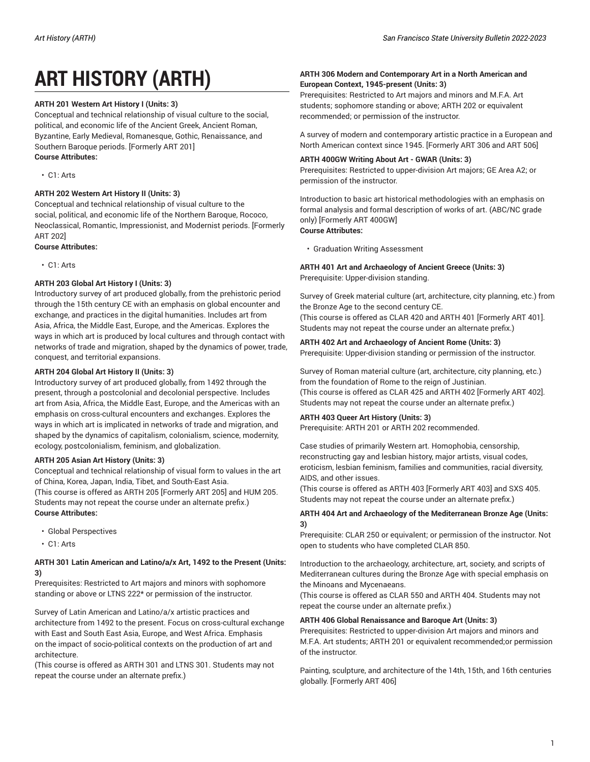# **ART HISTORY (ARTH)**

# **ARTH 201 Western Art History I (Units: 3)**

Conceptual and technical relationship of visual culture to the social, political, and economic life of the Ancient Greek, Ancient Roman, Byzantine, Early Medieval, Romanesque, Gothic, Renaissance, and Southern Baroque periods. [Formerly ART 201] **Course Attributes:**

• C1: Arts

# **ARTH 202 Western Art History II (Units: 3)**

Conceptual and technical relationship of visual culture to the social, political, and economic life of the Northern Baroque, Rococo, Neoclassical, Romantic, Impressionist, and Modernist periods. [Formerly ART 202]

#### **Course Attributes:**

• C1: Arts

# **ARTH 203 Global Art History I (Units: 3)**

Introductory survey of art produced globally, from the prehistoric period through the 15th century CE with an emphasis on global encounter and exchange, and practices in the digital humanities. Includes art from Asia, Africa, the Middle East, Europe, and the Americas. Explores the ways in which art is produced by local cultures and through contact with networks of trade and migration, shaped by the dynamics of power, trade, conquest, and territorial expansions.

# **ARTH 204 Global Art History II (Units: 3)**

Introductory survey of art produced globally, from 1492 through the present, through a postcolonial and decolonial perspective. Includes art from Asia, Africa, the Middle East, Europe, and the Americas with an emphasis on cross-cultural encounters and exchanges. Explores the ways in which art is implicated in networks of trade and migration, and shaped by the dynamics of capitalism, colonialism, science, modernity, ecology, postcolonialism, feminism, and globalization.

# **ARTH 205 Asian Art History (Units: 3)**

Conceptual and technical relationship of visual form to values in the art of China, Korea, Japan, India, Tibet, and South-East Asia. (This course is offered as ARTH 205 [Formerly ART 205] and HUM 205. Students may not repeat the course under an alternate prefix.) **Course Attributes:**

- Global Perspectives
- C1: Arts

# **ARTH 301 Latin American and Latino/a/x Art, 1492 to the Present (Units: 3)**

Prerequisites: Restricted to Art majors and minors with sophomore standing or above or LTNS 222\* or permission of the instructor.

Survey of Latin American and Latino/a/x artistic practices and architecture from 1492 to the present. Focus on cross-cultural exchange with East and South East Asia, Europe, and West Africa. Emphasis on the impact of socio-political contexts on the production of art and architecture.

(This course is offered as ARTH 301 and LTNS 301. Students may not repeat the course under an alternate prefix.)

# **ARTH 306 Modern and Contemporary Art in a North American and European Context, 1945-present (Units: 3)**

Prerequisites: Restricted to Art majors and minors and M.F.A. Art students; sophomore standing or above; ARTH 202 or equivalent recommended; or permission of the instructor.

A survey of modern and contemporary artistic practice in a European and North American context since 1945. [Formerly ART 306 and ART 506]

# **ARTH 400GW Writing About Art - GWAR (Units: 3)**

Prerequisites: Restricted to upper-division Art majors; GE Area A2; or permission of the instructor.

Introduction to basic art historical methodologies with an emphasis on formal analysis and formal description of works of art. (ABC/NC grade only) [Formerly ART 400GW] **Course Attributes:**

#### • Graduation Writing Assessment

**ARTH 401 Art and Archaeology of Ancient Greece (Units: 3)** Prerequisite: Upper-division standing.

Survey of Greek material culture (art, architecture, city planning, etc.) from the Bronze Age to the second century CE. (This course is offered as CLAR 420 and ARTH 401 [Formerly ART 401]. Students may not repeat the course under an alternate prefix.)

# **ARTH 402 Art and Archaeology of Ancient Rome (Units: 3)**

Prerequisite: Upper-division standing or permission of the instructor.

Survey of Roman material culture (art, architecture, city planning, etc.) from the foundation of Rome to the reign of Justinian. (This course is offered as CLAR 425 and ARTH 402 [Formerly ART 402]. Students may not repeat the course under an alternate prefix.)

# **ARTH 403 Queer Art History (Units: 3)**

Prerequisite: ARTH 201 or ARTH 202 recommended.

Case studies of primarily Western art. Homophobia, censorship, reconstructing gay and lesbian history, major artists, visual codes, eroticism, lesbian feminism, families and communities, racial diversity, AIDS, and other issues.

(This course is offered as ARTH 403 [Formerly ART 403] and SXS 405. Students may not repeat the course under an alternate prefix.)

# **ARTH 404 Art and Archaeology of the Mediterranean Bronze Age (Units: 3)**

Prerequisite: CLAR 250 or equivalent; or permission of the instructor. Not open to students who have completed CLAR 850.

Introduction to the archaeology, architecture, art, society, and scripts of Mediterranean cultures during the Bronze Age with special emphasis on the Minoans and Mycenaeans.

(This course is offered as CLAR 550 and ARTH 404. Students may not repeat the course under an alternate prefix.)

# **ARTH 406 Global Renaissance and Baroque Art (Units: 3)**

Prerequisites: Restricted to upper-division Art majors and minors and M.F.A. Art students; ARTH 201 or equivalent recommended;or permission of the instructor.

Painting, sculpture, and architecture of the 14th, 15th, and 16th centuries globally. [Formerly ART 406]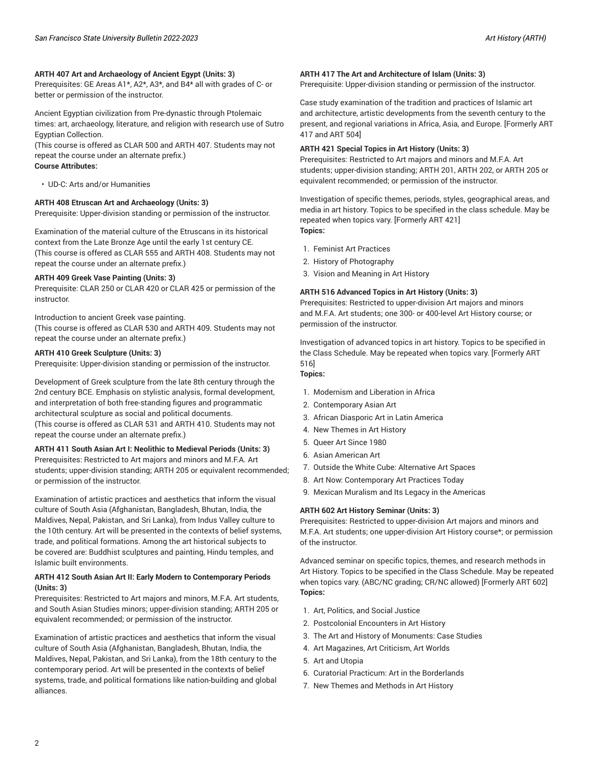#### **ARTH 407 Art and Archaeology of Ancient Egypt (Units: 3)**

Prerequisites: GE Areas A1\*, A2\*, A3\*, and B4\* all with grades of C- or better or permission of the instructor.

Ancient Egyptian civilization from Pre-dynastic through Ptolemaic times: art, archaeology, literature, and religion with research use of Sutro Egyptian Collection.

(This course is offered as CLAR 500 and ARTH 407. Students may not repeat the course under an alternate prefix.) **Course Attributes:**

• UD-C: Arts and/or Humanities

#### **ARTH 408 Etruscan Art and Archaeology (Units: 3)**

Prerequisite: Upper-division standing or permission of the instructor.

Examination of the material culture of the Etruscans in its historical context from the Late Bronze Age until the early 1st century CE. (This course is offered as CLAR 555 and ARTH 408. Students may not repeat the course under an alternate prefix.)

#### **ARTH 409 Greek Vase Painting (Units: 3)**

Prerequisite: CLAR 250 or CLAR 420 or CLAR 425 or permission of the instructor.

Introduction to ancient Greek vase painting.

(This course is offered as CLAR 530 and ARTH 409. Students may not repeat the course under an alternate prefix.)

#### **ARTH 410 Greek Sculpture (Units: 3)**

Prerequisite: Upper-division standing or permission of the instructor.

Development of Greek sculpture from the late 8th century through the 2nd century BCE. Emphasis on stylistic analysis, formal development, and interpretation of both free-standing figures and programmatic architectural sculpture as social and political documents. (This course is offered as CLAR 531 and ARTH 410. Students may not repeat the course under an alternate prefix.)

**ARTH 411 South Asian Art I: Neolithic to Medieval Periods (Units: 3)** Prerequisites: Restricted to Art majors and minors and M.F.A. Art students; upper-division standing; ARTH 205 or equivalent recommended; or permission of the instructor.

Examination of artistic practices and aesthetics that inform the visual culture of South Asia (Afghanistan, Bangladesh, Bhutan, India, the Maldives, Nepal, Pakistan, and Sri Lanka), from Indus Valley culture to the 10th century. Art will be presented in the contexts of belief systems, trade, and political formations. Among the art historical subjects to be covered are: Buddhist sculptures and painting, Hindu temples, and Islamic built environments.

#### **ARTH 412 South Asian Art II: Early Modern to Contemporary Periods (Units: 3)**

Prerequisites: Restricted to Art majors and minors, M.F.A. Art students, and South Asian Studies minors; upper-division standing; ARTH 205 or equivalent recommended; or permission of the instructor.

Examination of artistic practices and aesthetics that inform the visual culture of South Asia (Afghanistan, Bangladesh, Bhutan, India, the Maldives, Nepal, Pakistan, and Sri Lanka), from the 18th century to the contemporary period. Art will be presented in the contexts of belief systems, trade, and political formations like nation-building and global alliances.

#### **ARTH 417 The Art and Architecture of Islam (Units: 3)**

Prerequisite: Upper-division standing or permission of the instructor.

Case study examination of the tradition and practices of Islamic art and architecture, artistic developments from the seventh century to the present, and regional variations in Africa, Asia, and Europe. [Formerly ART 417 and ART 504]

#### **ARTH 421 Special Topics in Art History (Units: 3)**

Prerequisites: Restricted to Art majors and minors and M.F.A. Art students; upper-division standing; ARTH 201, ARTH 202, or ARTH 205 or equivalent recommended; or permission of the instructor.

Investigation of specific themes, periods, styles, geographical areas, and media in art history. Topics to be specified in the class schedule. May be repeated when topics vary. [Formerly ART 421] **Topics:**

- 1. Feminist Art Practices
- 2. History of Photography
- 3. Vision and Meaning in Art History

#### **ARTH 516 Advanced Topics in Art History (Units: 3)**

Prerequisites: Restricted to upper-division Art majors and minors and M.F.A. Art students; one 300- or 400-level Art History course; or permission of the instructor.

Investigation of advanced topics in art history. Topics to be specified in the Class Schedule. May be repeated when topics vary. [Formerly ART 516]

- **Topics:**
- 1. Modernism and Liberation in Africa
- 2. Contemporary Asian Art
- 3. African Diasporic Art in Latin America
- 4. New Themes in Art History
- 5. Queer Art Since 1980
- 6. Asian American Art
- 7. Outside the White Cube: Alternative Art Spaces
- 8. Art Now: Contemporary Art Practices Today
- 9. Mexican Muralism and Its Legacy in the Americas

#### **ARTH 602 Art History Seminar (Units: 3)**

Prerequisites: Restricted to upper-division Art majors and minors and M.F.A. Art students; one upper-division Art History course\*; or permission of the instructor.

Advanced seminar on specific topics, themes, and research methods in Art History. Topics to be specified in the Class Schedule. May be repeated when topics vary. (ABC/NC grading; CR/NC allowed) [Formerly ART 602] **Topics:**

- 1. Art, Politics, and Social Justice
- 2. Postcolonial Encounters in Art History
- 3. The Art and History of Monuments: Case Studies
- 4. Art Magazines, Art Criticism, Art Worlds
- 5. Art and Utopia
- 6. Curatorial Practicum: Art in the Borderlands
- 7. New Themes and Methods in Art History